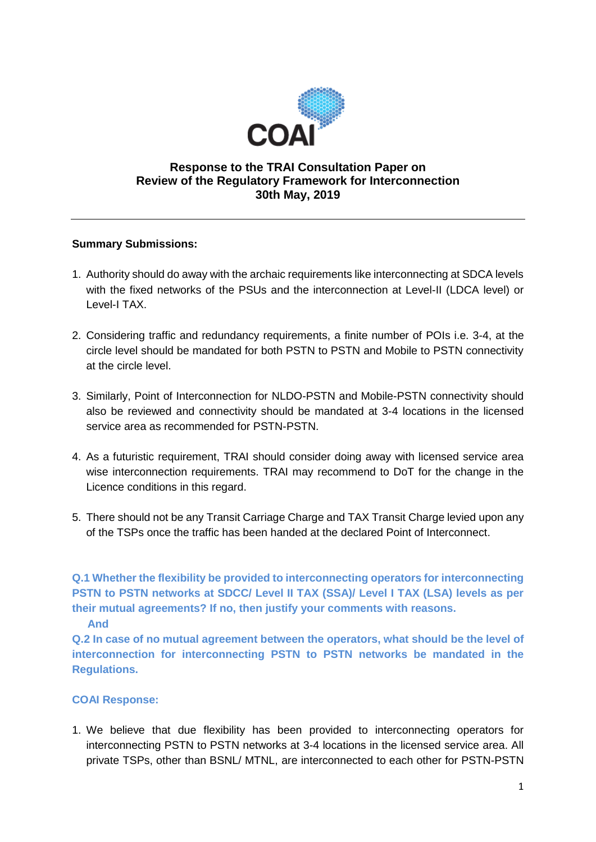

# **Response to the TRAI Consultation Paper on Review of the Regulatory Framework for Interconnection 30th May, 2019**

## **Summary Submissions:**

- 1. Authority should do away with the archaic requirements like interconnecting at SDCA levels with the fixed networks of the PSUs and the interconnection at Level-II (LDCA level) or Level-I TAX.
- 2. Considering traffic and redundancy requirements, a finite number of POIs i.e. 3-4, at the circle level should be mandated for both PSTN to PSTN and Mobile to PSTN connectivity at the circle level.
- 3. Similarly, Point of Interconnection for NLDO-PSTN and Mobile-PSTN connectivity should also be reviewed and connectivity should be mandated at 3-4 locations in the licensed service area as recommended for PSTN-PSTN.
- 4. As a futuristic requirement, TRAI should consider doing away with licensed service area wise interconnection requirements. TRAI may recommend to DoT for the change in the Licence conditions in this regard.
- 5. There should not be any Transit Carriage Charge and TAX Transit Charge levied upon any of the TSPs once the traffic has been handed at the declared Point of Interconnect.

**Q.1 Whether the flexibility be provided to interconnecting operators for interconnecting PSTN to PSTN networks at SDCC/ Level II TAX (SSA)/ Level I TAX (LSA) levels as per their mutual agreements? If no, then justify your comments with reasons.** 

 **And**

**Q.2 In case of no mutual agreement between the operators, what should be the level of interconnection for interconnecting PSTN to PSTN networks be mandated in the Regulations.**

# **COAI Response:**

1. We believe that due flexibility has been provided to interconnecting operators for interconnecting PSTN to PSTN networks at 3-4 locations in the licensed service area. All private TSPs, other than BSNL/ MTNL, are interconnected to each other for PSTN-PSTN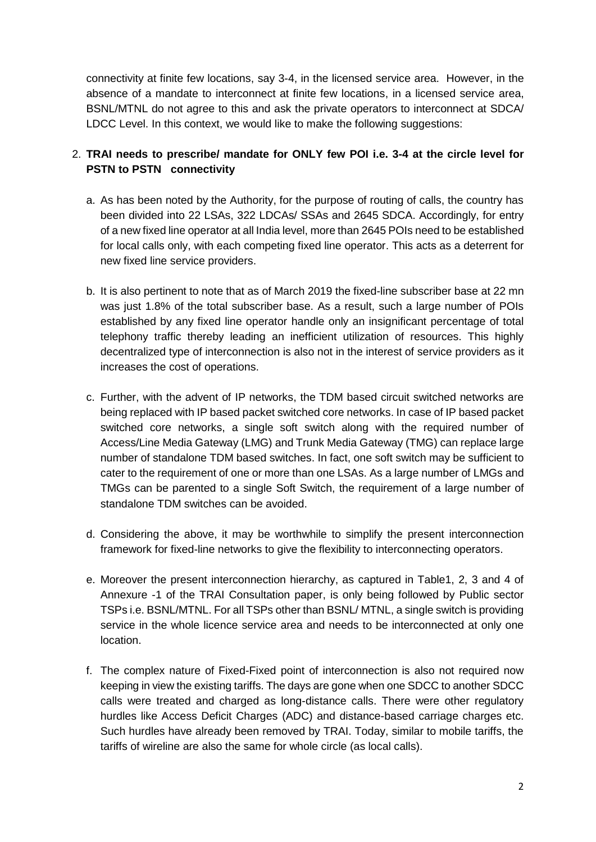connectivity at finite few locations, say 3-4, in the licensed service area. However, in the absence of a mandate to interconnect at finite few locations, in a licensed service area, BSNL/MTNL do not agree to this and ask the private operators to interconnect at SDCA/ LDCC Level. In this context, we would like to make the following suggestions:

# 2. **TRAI needs to prescribe/ mandate for ONLY few POI i.e. 3-4 at the circle level for PSTN to PSTN connectivity**

- a. As has been noted by the Authority, for the purpose of routing of calls, the country has been divided into 22 LSAs, 322 LDCAs/ SSAs and 2645 SDCA. Accordingly, for entry of a new fixed line operator at all India level, more than 2645 POIs need to be established for local calls only, with each competing fixed line operator. This acts as a deterrent for new fixed line service providers.
- b. It is also pertinent to note that as of March 2019 the fixed-line subscriber base at 22 mn was just 1.8% of the total subscriber base. As a result, such a large number of POIs established by any fixed line operator handle only an insignificant percentage of total telephony traffic thereby leading an inefficient utilization of resources. This highly decentralized type of interconnection is also not in the interest of service providers as it increases the cost of operations.
- c. Further, with the advent of IP networks, the TDM based circuit switched networks are being replaced with IP based packet switched core networks. In case of IP based packet switched core networks, a single soft switch along with the required number of Access/Line Media Gateway (LMG) and Trunk Media Gateway (TMG) can replace large number of standalone TDM based switches. In fact, one soft switch may be sufficient to cater to the requirement of one or more than one LSAs. As a large number of LMGs and TMGs can be parented to a single Soft Switch, the requirement of a large number of standalone TDM switches can be avoided.
- d. Considering the above, it may be worthwhile to simplify the present interconnection framework for fixed-line networks to give the flexibility to interconnecting operators.
- e. Moreover the present interconnection hierarchy, as captured in Table1, 2, 3 and 4 of Annexure -1 of the TRAI Consultation paper, is only being followed by Public sector TSPs i.e. BSNL/MTNL. For all TSPs other than BSNL/ MTNL, a single switch is providing service in the whole licence service area and needs to be interconnected at only one location.
- f. The complex nature of Fixed-Fixed point of interconnection is also not required now keeping in view the existing tariffs. The days are gone when one SDCC to another SDCC calls were treated and charged as long-distance calls. There were other regulatory hurdles like Access Deficit Charges (ADC) and distance-based carriage charges etc. Such hurdles have already been removed by TRAI. Today, similar to mobile tariffs, the tariffs of wireline are also the same for whole circle (as local calls).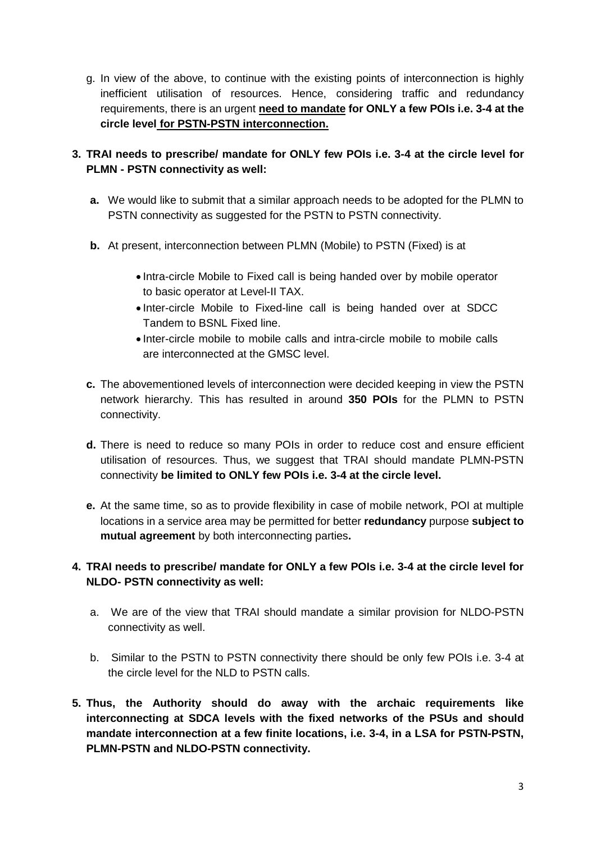g. In view of the above, to continue with the existing points of interconnection is highly inefficient utilisation of resources. Hence, considering traffic and redundancy requirements, there is an urgent **need to mandate for ONLY a few POIs i.e. 3-4 at the circle level for PSTN-PSTN interconnection.**

**3. TRAI needs to prescribe/ mandate for ONLY few POIs i.e. 3-4 at the circle level for PLMN - PSTN connectivity as well:**

- **a.** We would like to submit that a similar approach needs to be adopted for the PLMN to PSTN connectivity as suggested for the PSTN to PSTN connectivity.
- **b.** At present, interconnection between PLMN (Mobile) to PSTN (Fixed) is at
	- Intra-circle Mobile to Fixed call is being handed over by mobile operator to basic operator at Level-II TAX.
	- Inter-circle Mobile to Fixed-line call is being handed over at SDCC Tandem to BSNL Fixed line.
	- Inter-circle mobile to mobile calls and intra-circle mobile to mobile calls are interconnected at the GMSC level.
- **c.** The abovementioned levels of interconnection were decided keeping in view the PSTN network hierarchy. This has resulted in around **350 POIs** for the PLMN to PSTN connectivity.
- **d.** There is need to reduce so many POIs in order to reduce cost and ensure efficient utilisation of resources. Thus, we suggest that TRAI should mandate PLMN-PSTN connectivity **be limited to ONLY few POIs i.e. 3-4 at the circle level.**
- **e.** At the same time, so as to provide flexibility in case of mobile network, POI at multiple locations in a service area may be permitted for better **redundancy** purpose **subject to mutual agreement** by both interconnecting parties**.**

# **4. TRAI needs to prescribe/ mandate for ONLY a few POIs i.e. 3-4 at the circle level for NLDO- PSTN connectivity as well:**

- a. We are of the view that TRAI should mandate a similar provision for NLDO-PSTN connectivity as well.
- b. Similar to the PSTN to PSTN connectivity there should be only few POIs i.e. 3-4 at the circle level for the NLD to PSTN calls.
- **5. Thus, the Authority should do away with the archaic requirements like interconnecting at SDCA levels with the fixed networks of the PSUs and should mandate interconnection at a few finite locations, i.e. 3-4, in a LSA for PSTN-PSTN, PLMN-PSTN and NLDO-PSTN connectivity.**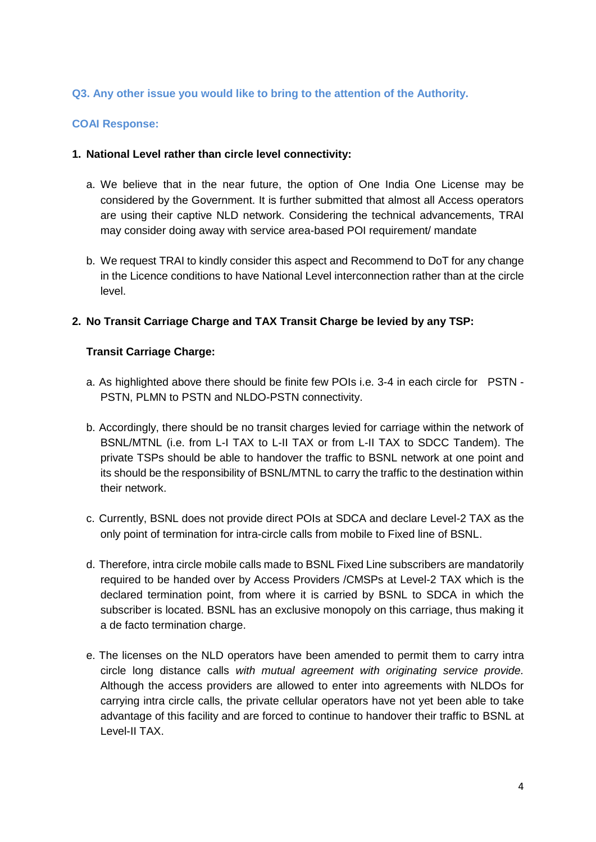## **Q3. Any other issue you would like to bring to the attention of the Authority.**

#### **COAI Response:**

#### **1. National Level rather than circle level connectivity:**

- a. We believe that in the near future, the option of One India One License may be considered by the Government. It is further submitted that almost all Access operators are using their captive NLD network. Considering the technical advancements, TRAI may consider doing away with service area-based POI requirement/ mandate
- b. We request TRAI to kindly consider this aspect and Recommend to DoT for any change in the Licence conditions to have National Level interconnection rather than at the circle level.

## **2. No Transit Carriage Charge and TAX Transit Charge be levied by any TSP:**

#### **Transit Carriage Charge:**

- a. As highlighted above there should be finite few POIs i.e. 3-4 in each circle for PSTN PSTN, PLMN to PSTN and NLDO-PSTN connectivity.
- b. Accordingly, there should be no transit charges levied for carriage within the network of BSNL/MTNL (i.e. from L-I TAX to L-II TAX or from L-II TAX to SDCC Tandem). The private TSPs should be able to handover the traffic to BSNL network at one point and its should be the responsibility of BSNL/MTNL to carry the traffic to the destination within their network.
- c. Currently, BSNL does not provide direct POIs at SDCA and declare Level-2 TAX as the only point of termination for intra-circle calls from mobile to Fixed line of BSNL.
- d. Therefore, intra circle mobile calls made to BSNL Fixed Line subscribers are mandatorily required to be handed over by Access Providers /CMSPs at Level-2 TAX which is the declared termination point, from where it is carried by BSNL to SDCA in which the subscriber is located. BSNL has an exclusive monopoly on this carriage, thus making it a de facto termination charge.
- e. The licenses on the NLD operators have been amended to permit them to carry intra circle long distance calls *with mutual agreement with originating service provide.*  Although the access providers are allowed to enter into agreements with NLDOs for carrying intra circle calls, the private cellular operators have not yet been able to take advantage of this facility and are forced to continue to handover their traffic to BSNL at Level-II TAX.